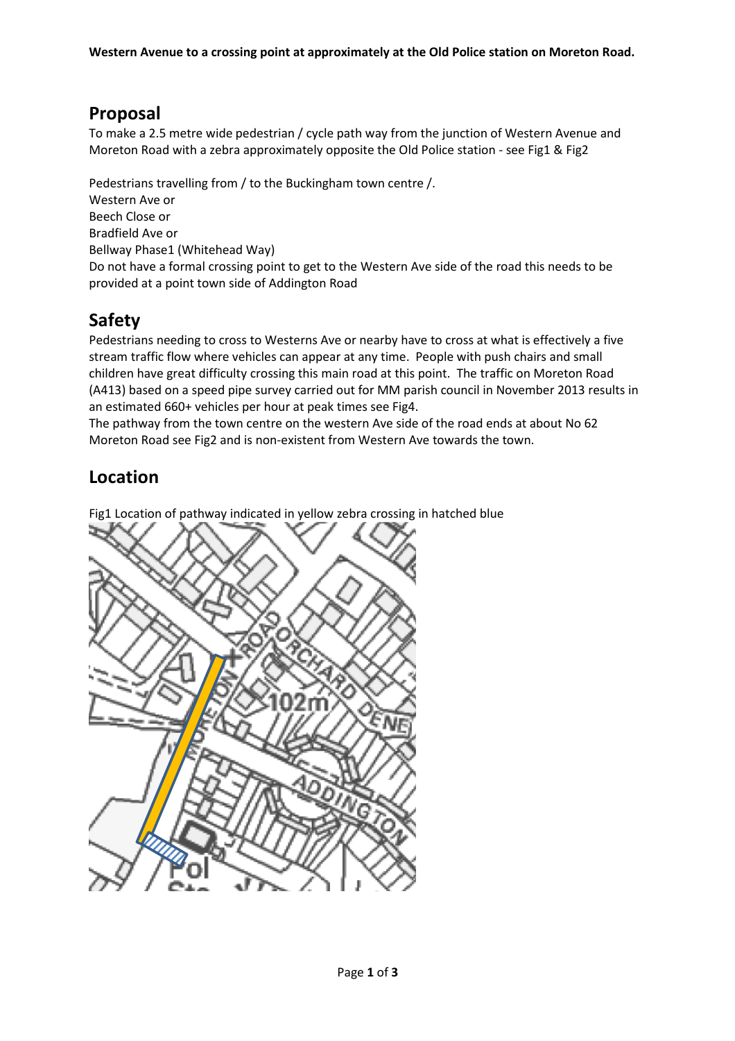## **Proposal**

To make a 2.5 metre wide pedestrian / cycle path way from the junction of Western Avenue and Moreton Road with a zebra approximately opposite the Old Police station - see Fig1 & Fig2

Pedestrians travelling from / to the Buckingham town centre /. Western Ave or Beech Close or Bradfield Ave or Bellway Phase1 (Whitehead Way) Do not have a formal crossing point to get to the Western Ave side of the road this needs to be provided at a point town side of Addington Road

## **Safety**

Pedestrians needing to cross to Westerns Ave or nearby have to cross at what is effectively a five stream traffic flow where vehicles can appear at any time. People with push chairs and small children have great difficulty crossing this main road at this point. The traffic on Moreton Road (A413) based on a speed pipe survey carried out for MM parish council in November 2013 results in an estimated 660+ vehicles per hour at peak times see Fig4.

The pathway from the town centre on the western Ave side of the road ends at about No 62 Moreton Road see Fig2 and is non-existent from Western Ave towards the town.

## **Location**

Fig1 Location of pathway indicated in yellow zebra crossing in hatched blue

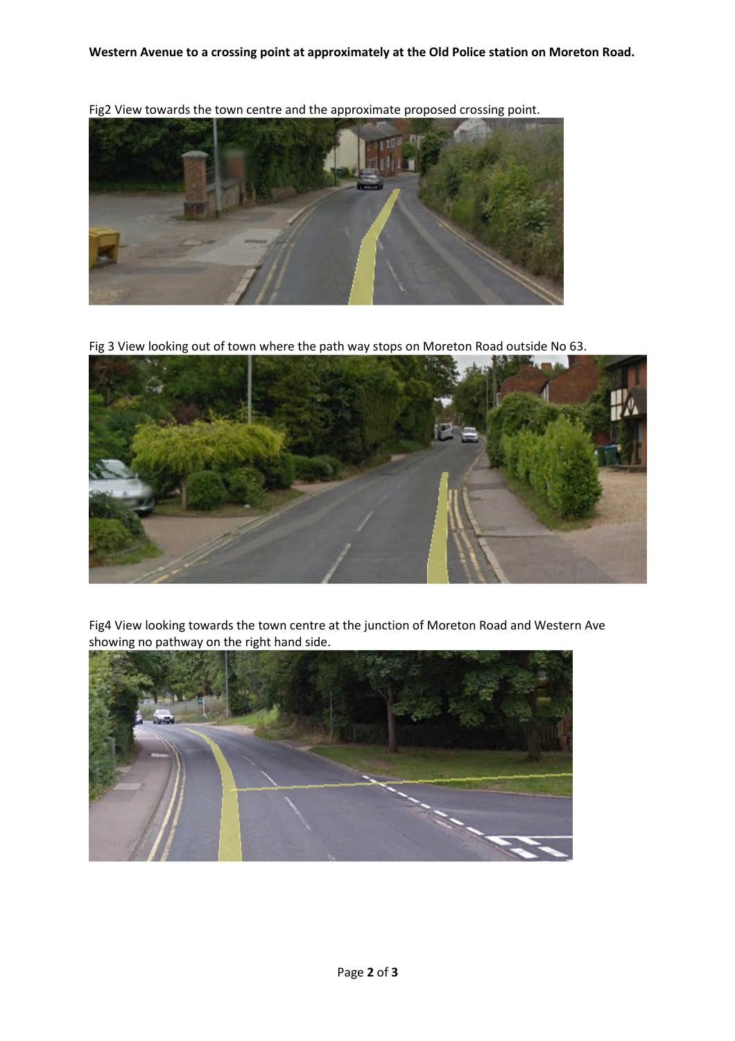**Western Avenue to a crossing point at approximately at the Old Police station on Moreton Road.** 



Fig2 View towards the town centre and the approximate proposed crossing point.

Fig 3 View looking out of town where the path way stops on Moreton Road outside No 63.



Fig4 View looking towards the town centre at the junction of Moreton Road and Western Ave showing no pathway on the right hand side.